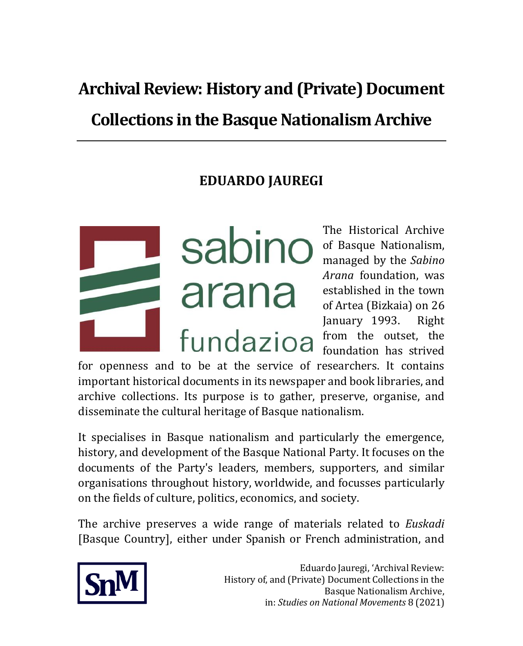# **Archival Review: History and (Private) Document Collections in the Basque Nationalism Archive**

# **EDUARDO JAUREGI**

Sabino of Basque Nationalism, arana fundazioa

The Historical Archive managed by the *Sabino Arana* foundation, was established in the town of Artea (Bizkaia) on 26 January 1993. Right from the outset, the foundation has strived

for openness and to be at the service of researchers. It contains important historical documents in its newspaper and book libraries, and archive collections. Its purpose is to gather, preserve, organise, and disseminate the cultural heritage of Basque nationalism.

It specialises in Basque nationalism and particularly the emergence, history, and development of the Basque National Party. It focuses on the documents of the Party's leaders, members, supporters, and similar organisations throughout history, worldwide, and focusses particularly on the fields of culture, politics, economics, and society.

The archive preserves a wide range of materials related to *Euskadi* [Basque Country], either under Spanish or French administration, and

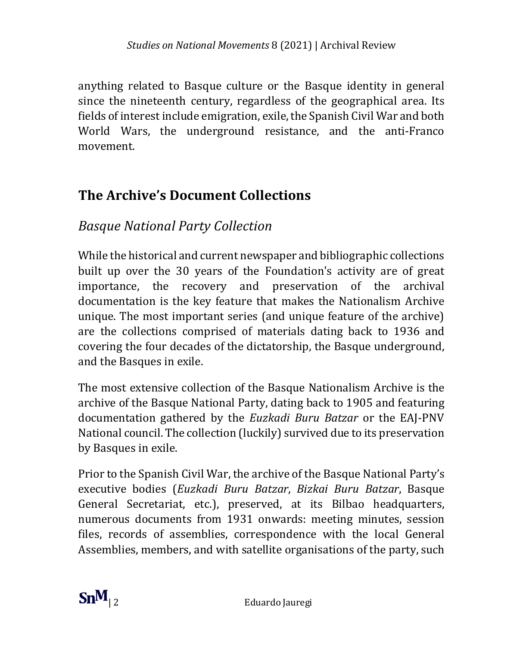anything related to Basque culture or the Basque identity in general since the nineteenth century, regardless of the geographical area. Its fields of interest include emigration, exile, the Spanish Civil War and both World Wars, the underground resistance, and the anti-Franco movement.

# **The Archive's Document Collections**

### *Basque National Party Collection*

While the historical and current newspaper and bibliographic collections built up over the 30 years of the Foundation's activity are of great importance, the recovery and preservation of the archival documentation is the key feature that makes the Nationalism Archive unique. The most important series (and unique feature of the archive) are the collections comprised of materials dating back to 1936 and covering the four decades of the dictatorship, the Basque underground, and the Basques in exile.

The most extensive collection of the Basque Nationalism Archive is the archive of the Basque National Party, dating back to 1905 and featuring documentation gathered by the *Euzkadi Buru Batzar* or the EAJ-PNV National council. The collection (luckily) survived due to its preservation by Basques in exile.

Prior to the Spanish Civil War, the archive of the Basque National Party's executive bodies (*Euzkadi Buru Batzar*, *Bizkai Buru Batzar*, Basque General Secretariat, etc.), preserved, at its Bilbao headquarters, numerous documents from 1931 onwards: meeting minutes, session files, records of assemblies, correspondence with the local General Assemblies, members, and with satellite organisations of the party, such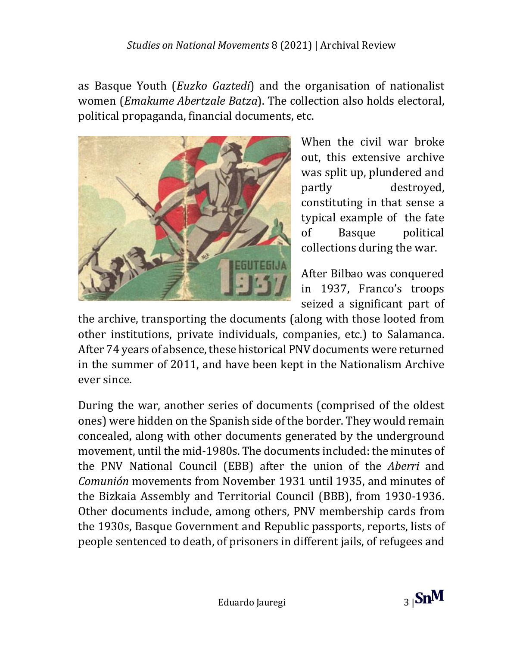#### *Studies on National Movements* 8 (2021) | Archival Review

as Basque Youth (*Euzko Gaztedi*) and the organisation of nationalist women (*Emakume Abertzale Batza*). The collection also holds electoral, political propaganda, financial documents, etc.



When the civil war broke out, this extensive archive was split up, plundered and partly destroyed, constituting in that sense a typical example of the fate of Basque political collections during the war.

After Bilbao was conquered in 1937, Franco's troops seized a significant part of

the archive, transporting the documents (along with those looted from other institutions, private individuals, companies, etc.) to Salamanca. After 74 years of absence, these historical PNV documents were returned in the summer of 2011, and have been kept in the Nationalism Archive ever since.

During the war, another series of documents (comprised of the oldest ones) were hidden on the Spanish side of the border. They would remain concealed, along with other documents generated by the underground movement, until the mid-1980s. The documents included: the minutes of the PNV National Council (EBB) after the union of the *Aberri* and *Comunión* movements from November 1931 until 1935, and minutes of the Bizkaia Assembly and Territorial Council (BBB), from 1930-1936. Other documents include, among others, PNV membership cards from the 1930s, Basque Government and Republic passports, reports, lists of people sentenced to death, of prisoners in different jails, of refugees and

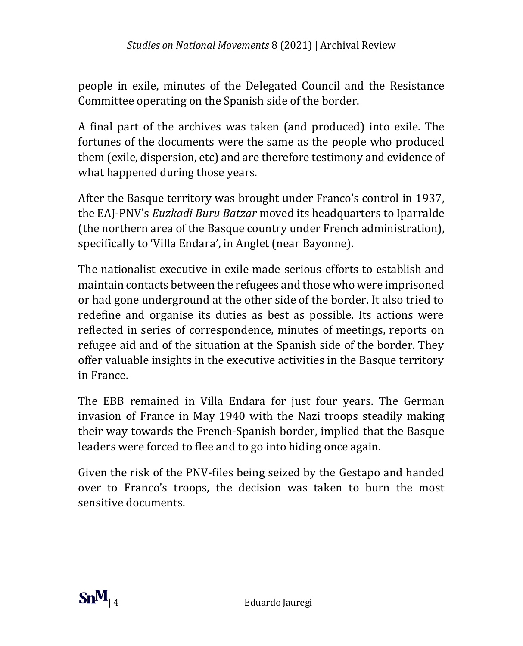people in exile, minutes of the Delegated Council and the Resistance Committee operating on the Spanish side of the border.

A final part of the archives was taken (and produced) into exile. The fortunes of the documents were the same as the people who produced them (exile, dispersion, etc) and are therefore testimony and evidence of what happened during those years.

After the Basque territory was brought under Franco's control in 1937, the EAJ-PNV's *Euzkadi Buru Batzar* moved its headquarters to Iparralde (the northern area of the Basque country under French administration), specifically to 'Villa Endara', in Anglet (near Bayonne).

The nationalist executive in exile made serious efforts to establish and maintain contacts between the refugees and those who were imprisoned or had gone underground at the other side of the border. It also tried to redefine and organise its duties as best as possible. Its actions were reflected in series of correspondence, minutes of meetings, reports on refugee aid and of the situation at the Spanish side of the border. They offer valuable insights in the executive activities in the Basque territory in France.

The EBB remained in Villa Endara for just four years. The German invasion of France in May 1940 with the Nazi troops steadily making their way towards the French-Spanish border, implied that the Basque leaders were forced to flee and to go into hiding once again.

Given the risk of the PNV-files being seized by the Gestapo and handed over to Franco's troops, the decision was taken to burn the most sensitive documents.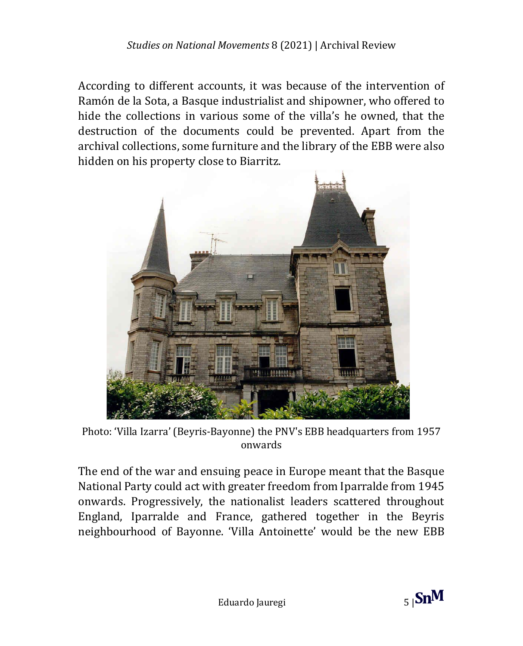According to different accounts, it was because of the intervention of Ramón de la Sota, a Basque industrialist and shipowner, who offered to hide the collections in various some of the villa's he owned, that the destruction of the documents could be prevented. Apart from the archival collections, some furniture and the library of the EBB were also hidden on his property close to Biarritz.



Photo: 'Villa Izarra' (Beyris-Bayonne) the PNV's EBB headquarters from 1957 onwards

The end of the war and ensuing peace in Europe meant that the Basque National Party could act with greater freedom from Iparralde from 1945 onwards. Progressively, the nationalist leaders scattered throughout England, Iparralde and France, gathered together in the Beyris neighbourhood of Bayonne. 'Villa Antoinette' would be the new EBB

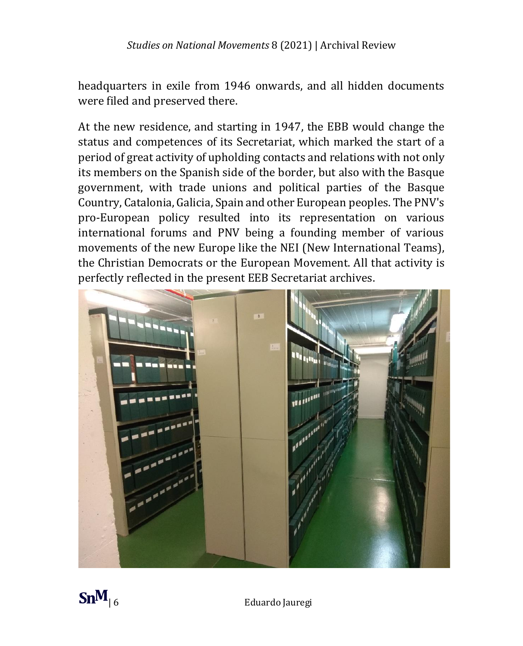headquarters in exile from 1946 onwards, and all hidden documents were filed and preserved there.

At the new residence, and starting in 1947, the EBB would change the status and competences of its Secretariat, which marked the start of a period of great activity of upholding contacts and relations with not only its members on the Spanish side of the border, but also with the Basque government, with trade unions and political parties of the Basque Country, Catalonia, Galicia, Spain and other European peoples. The PNV's pro-European policy resulted into its representation on various international forums and PNV being a founding member of various movements of the new Europe like the NEI (New International Teams), the Christian Democrats or the European Movement. All that activity is perfectly reflected in the present EEB Secretariat archives.



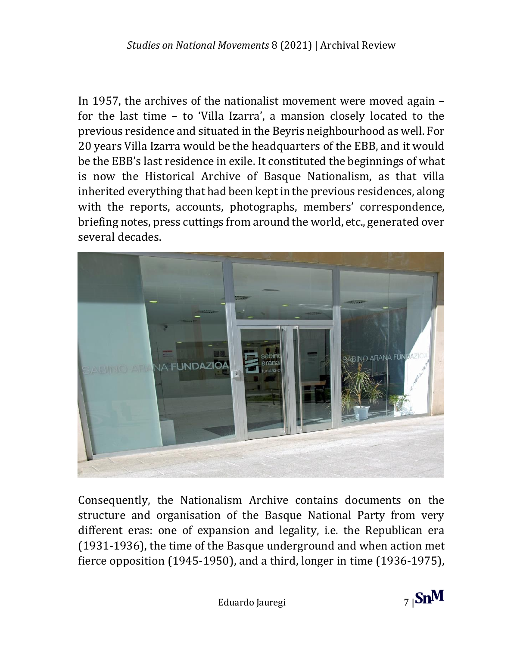In 1957, the archives of the nationalist movement were moved again – for the last time – to 'Villa Izarra', a mansion closely located to the previous residence and situated in the Beyris neighbourhood as well. For 20 years Villa Izarra would be the headquarters of the EBB, and it would be the EBB's last residence in exile. It constituted the beginnings of what is now the Historical Archive of Basque Nationalism, as that villa inherited everything that had been keptin the previous residences, along with the reports, accounts, photographs, members' correspondence, briefing notes, press cuttings from around the world, etc., generated over several decades.



Consequently, the Nationalism Archive contains documents on the structure and organisation of the Basque National Party from very different eras: one of expansion and legality, i.e. the Republican era (1931-1936), the time of the Basque underground and when action met fierce opposition (1945-1950), and a third, longer in time (1936-1975),

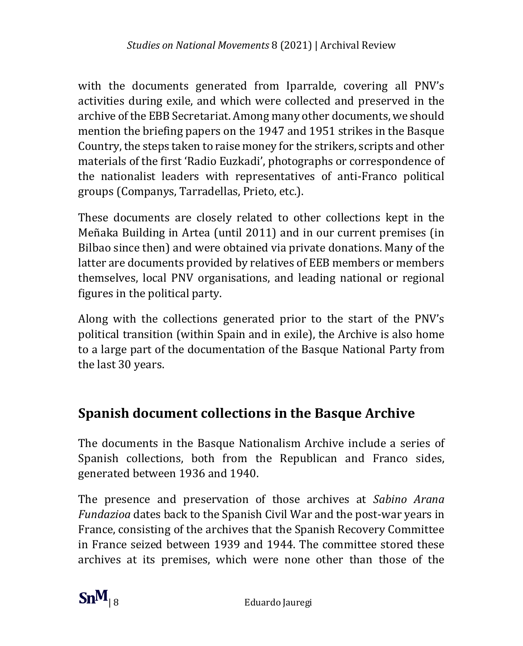with the documents generated from Iparralde, covering all PNV's activities during exile, and which were collected and preserved in the archive of the EBB Secretariat. Among many other documents, we should mention the briefing papers on the 1947 and 1951 strikes in the Basque Country, the steps taken to raise money for the strikers, scripts and other materials of the first 'Radio Euzkadi', photographs or correspondence of the nationalist leaders with representatives of anti-Franco political groups (Companys, Tarradellas, Prieto, etc.).

These documents are closely related to other collections kept in the Meñaka Building in Artea (until 2011) and in our current premises (in Bilbao since then) and were obtained via private donations. Many of the latter are documents provided by relatives of EEB members or members themselves, local PNV organisations, and leading national or regional figures in the political party.

Along with the collections generated prior to the start of the PNV's political transition (within Spain and in exile), the Archive is also home to a large part of the documentation of the Basque National Party from the last 30 years.

# **Spanish document collections in the Basque Archive**

The documents in the Basque Nationalism Archive include a series of Spanish collections, both from the Republican and Franco sides, generated between 1936 and 1940.

The presence and preservation of those archives at *Sabino Arana Fundazioa* dates back to the Spanish Civil War and the post-war years in France, consisting of the archives that the Spanish Recovery Committee in France seized between 1939 and 1944. The committee stored these archives at its premises, which were none other than those of the

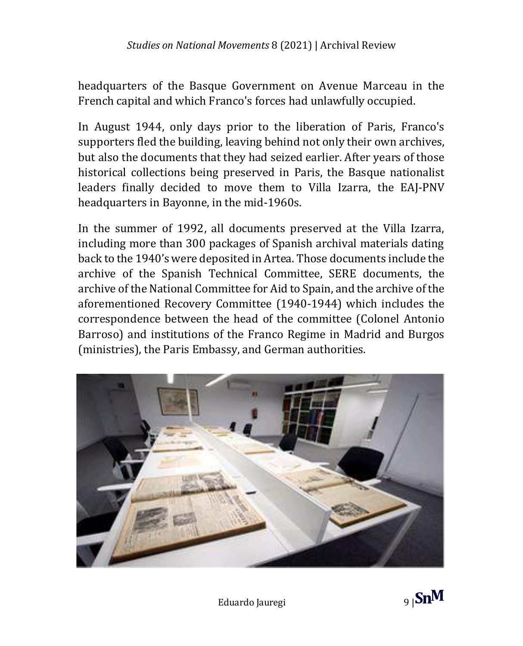headquarters of the Basque Government on Avenue Marceau in the French capital and which Franco's forces had unlawfully occupied.

In August 1944, only days prior to the liberation of Paris, Franco's supporters fled the building, leaving behind not only their own archives, but also the documents that they had seized earlier. After years of those historical collections being preserved in Paris, the Basque nationalist leaders finally decided to move them to Villa Izarra, the EAJ-PNV headquarters in Bayonne, in the mid-1960s.

In the summer of 1992, all documents preserved at the Villa Izarra, including more than 300 packages of Spanish archival materials dating back to the 1940's were deposited in Artea. Those documents include the archive of the Spanish Technical Committee, SERE documents, the archive of the National Committee for Aid to Spain, and the archive of the aforementioned Recovery Committee (1940-1944) which includes the correspondence between the head of the committee (Colonel Antonio Barroso) and institutions of the Franco Regime in Madrid and Burgos (ministries), the Paris Embassy, and German authorities.

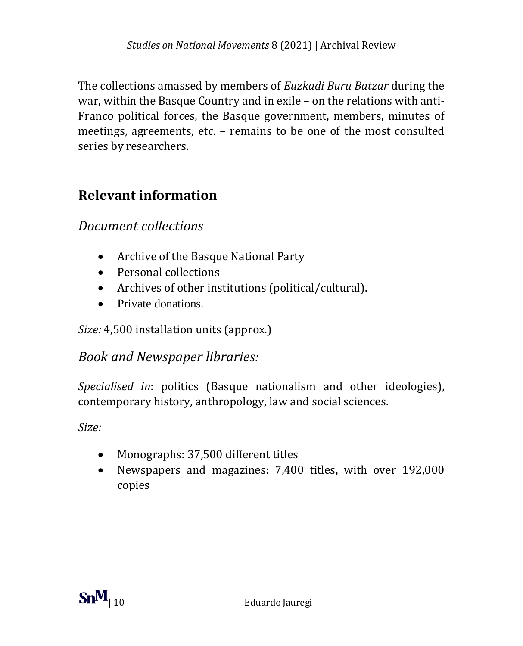The collections amassed by members of *Euzkadi Buru Batzar* during the war, within the Basque Country and in exile – on the relations with anti-Franco political forces, the Basque government, members, minutes of meetings, agreements, etc. – remains to be one of the most consulted series by researchers.

## **Relevant information**

#### *Document collections*

- Archive of the Basque National Party
- Personal collections
- Archives of other institutions (political/cultural).
- Private donations

*Size:* 4,500 installation units (approx.)

#### *Book and Newspaper libraries:*

*Specialised in*: politics (Basque nationalism and other ideologies), contemporary history, anthropology, law and social sciences.

*Size:*

- Monographs: 37,500 different titles
- Newspapers and magazines: 7,400 titles, with over 192,000 copies